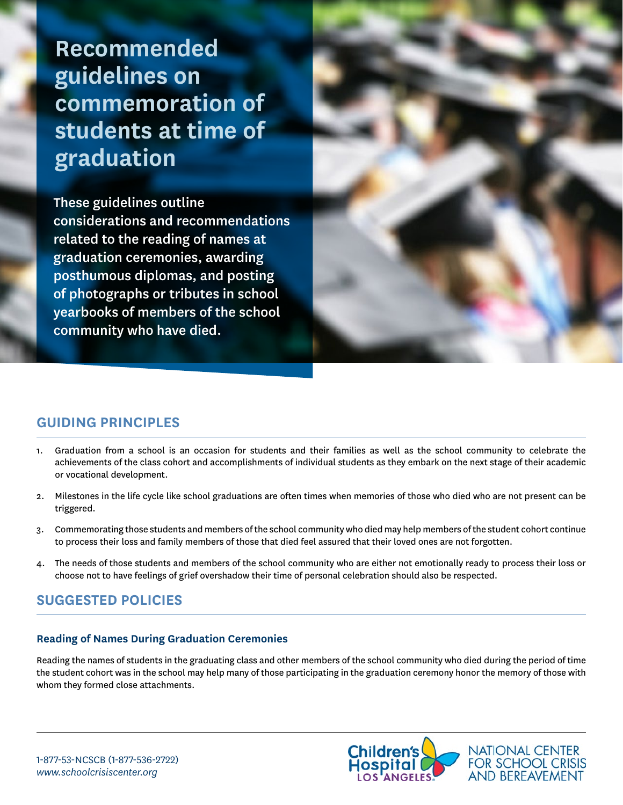**Recommended guidelines on commemoration of students at time of graduation**

These guidelines outline considerations and recommendations related to the reading of names at graduation ceremonies, awarding posthumous diplomas, and posting of photographs or tributes in school yearbooks of members of the school community who have died.



# **GUIDING PRINCIPLES**

- 1. Graduation from a school is an occasion for students and their families as well as the school community to celebrate the achievements of the class cohort and accomplishments of individual students as they embark on the next stage of their academic or vocational development.
- 2. Milestones in the life cycle like school graduations are often times when memories of those who died who are not present can be triggered.
- 3. Commemorating those students and members of the school community who died may help members of the student cohort continue to process their loss and family members of those that died feel assured that their loved ones are not forgotten.
- 4. The needs of those students and members of the school community who are either not emotionally ready to process their loss or choose not to have feelings of grief overshadow their time of personal celebration should also be respected.

# **SUGGESTED POLICIES**

### **Reading of Names During Graduation Ceremonies**

Reading the names of students in the graduating class and other members of the school community who died during the period of time the student cohort was in the school may help many of those participating in the graduation ceremony honor the memory of those with whom they formed close attachments.